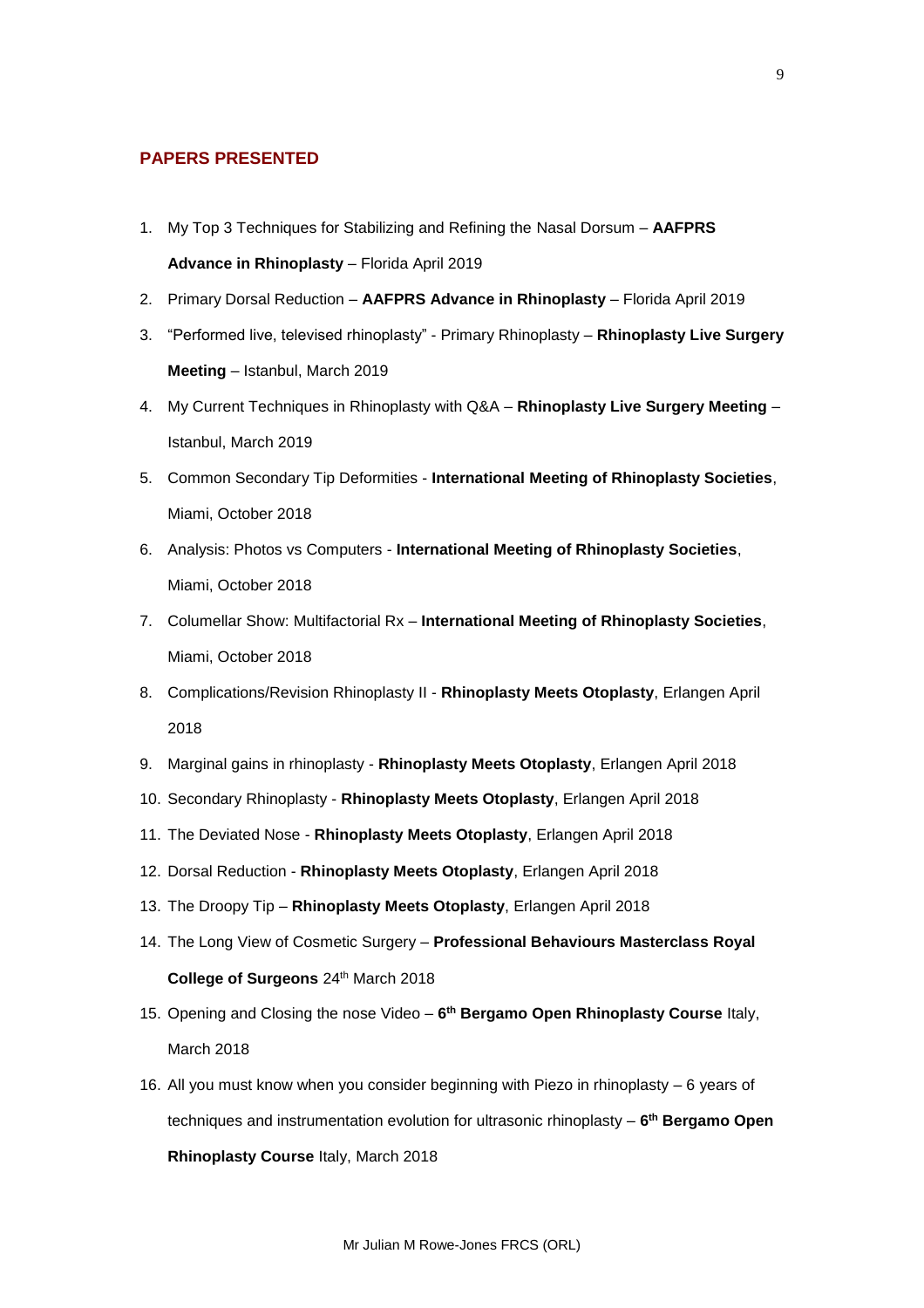## **PAPERS PRESENTED**

- 1. My Top 3 Techniques for Stabilizing and Refining the Nasal Dorsum **AAFPRS Advance in Rhinoplasty** – Florida April 2019
- 2. Primary Dorsal Reduction **AAFPRS Advance in Rhinoplasty** Florida April 2019
- 3. "Performed live, televised rhinoplasty" Primary Rhinoplasty **Rhinoplasty Live Surgery Meeting** – Istanbul, March 2019
- 4. My Current Techniques in Rhinoplasty with Q&A **Rhinoplasty Live Surgery Meeting** Istanbul, March 2019
- 5. Common Secondary Tip Deformities **International Meeting of Rhinoplasty Societies**, Miami, October 2018
- 6. Analysis: Photos vs Computers **International Meeting of Rhinoplasty Societies**, Miami, October 2018
- 7. Columellar Show: Multifactorial Rx **International Meeting of Rhinoplasty Societies**, Miami, October 2018
- 8. Complications/Revision Rhinoplasty II **Rhinoplasty Meets Otoplasty**, Erlangen April 2018
- 9. Marginal gains in rhinoplasty **Rhinoplasty Meets Otoplasty**, Erlangen April 2018
- 10. Secondary Rhinoplasty **Rhinoplasty Meets Otoplasty**, Erlangen April 2018
- 11. The Deviated Nose **Rhinoplasty Meets Otoplasty**, Erlangen April 2018
- 12. Dorsal Reduction **Rhinoplasty Meets Otoplasty**, Erlangen April 2018
- 13. The Droopy Tip **Rhinoplasty Meets Otoplasty**, Erlangen April 2018
- 14. The Long View of Cosmetic Surgery **Professional Behaviours Masterclass Royal College of Surgeons** 24th March 2018
- 15. Opening and Closing the nose Video **6 th Bergamo Open Rhinoplasty Course** Italy, March 2018
- 16. All you must know when you consider beginning with Piezo in rhinoplasty 6 years of techniques and instrumentation evolution for ultrasonic rhinoplasty – **6 th Bergamo Open Rhinoplasty Course** Italy, March 2018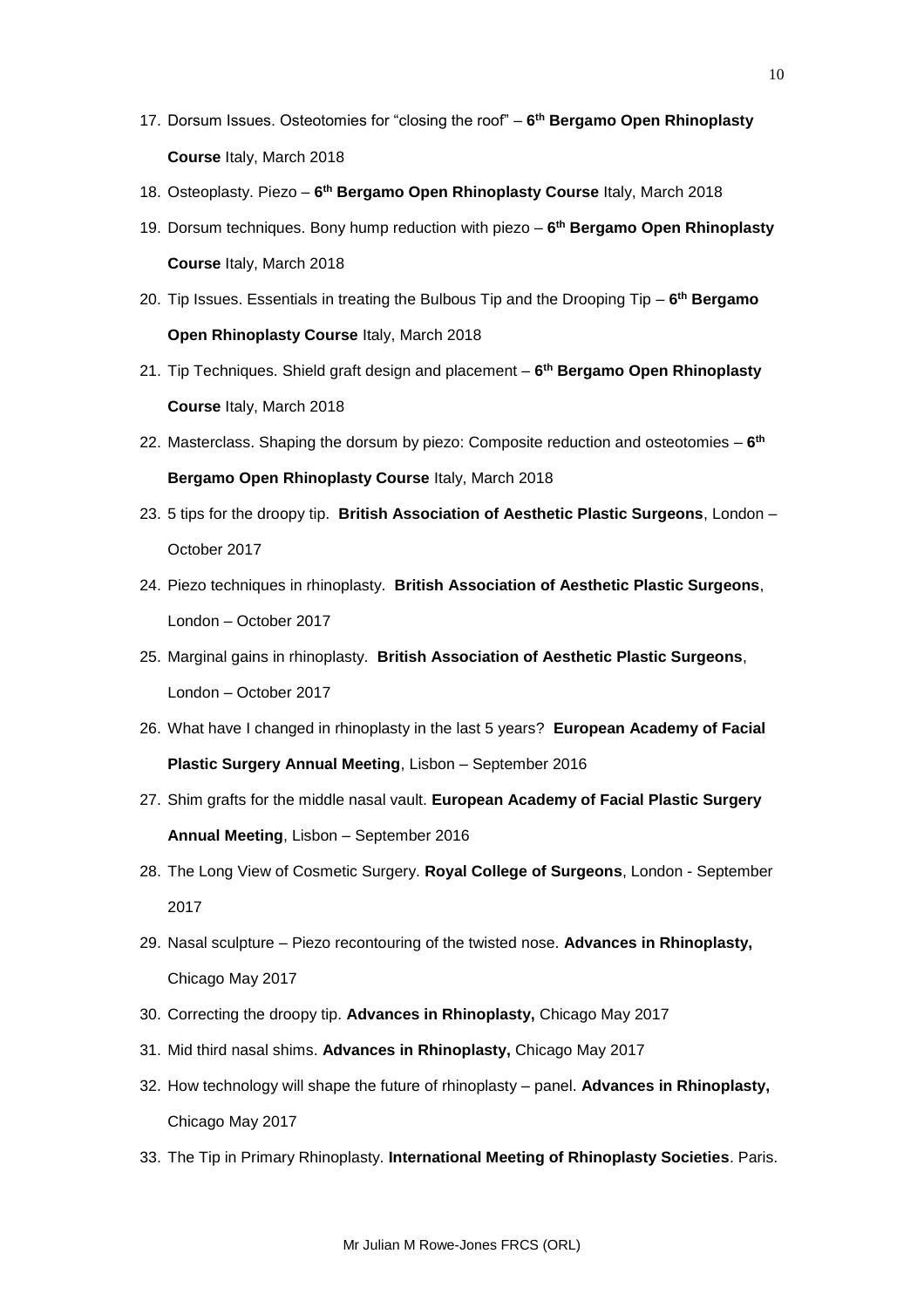- 17. Dorsum Issues. Osteotomies for "closing the roof" **6 th Bergamo Open Rhinoplasty Course** Italy, March 2018
- 18. Osteoplasty. Piezo **6 th Bergamo Open Rhinoplasty Course** Italy, March 2018
- 19. Dorsum techniques. Bony hump reduction with piezo **6 th Bergamo Open Rhinoplasty Course** Italy, March 2018
- 20. Tip Issues. Essentials in treating the Bulbous Tip and the Drooping Tip **6 th Bergamo Open Rhinoplasty Course** Italy, March 2018
- 21. Tip Techniques. Shield graft design and placement **6 th Bergamo Open Rhinoplasty Course** Italy, March 2018
- 22. Masterclass. Shaping the dorsum by piezo: Composite reduction and osteotomies **6 th Bergamo Open Rhinoplasty Course** Italy, March 2018
- 23. 5 tips for the droopy tip. **British Association of Aesthetic Plastic Surgeons**, London October 2017
- 24. Piezo techniques in rhinoplasty. **British Association of Aesthetic Plastic Surgeons**, London – October 2017
- 25. Marginal gains in rhinoplasty. **British Association of Aesthetic Plastic Surgeons**, London – October 2017
- 26. What have I changed in rhinoplasty in the last 5 years? **European Academy of Facial Plastic Surgery Annual Meeting**, Lisbon – September 2016
- 27. Shim grafts for the middle nasal vault. **European Academy of Facial Plastic Surgery Annual Meeting**, Lisbon – September 2016
- 28. The Long View of Cosmetic Surgery. **Royal College of Surgeons**, London September 2017
- 29. Nasal sculpture Piezo recontouring of the twisted nose. **Advances in Rhinoplasty,**  Chicago May 2017
- 30. Correcting the droopy tip. **Advances in Rhinoplasty,** Chicago May 2017
- 31. Mid third nasal shims. **Advances in Rhinoplasty,** Chicago May 2017
- 32. How technology will shape the future of rhinoplasty panel. **Advances in Rhinoplasty,**  Chicago May 2017
- 33. The Tip in Primary Rhinoplasty. **International Meeting of Rhinoplasty Societies**. Paris.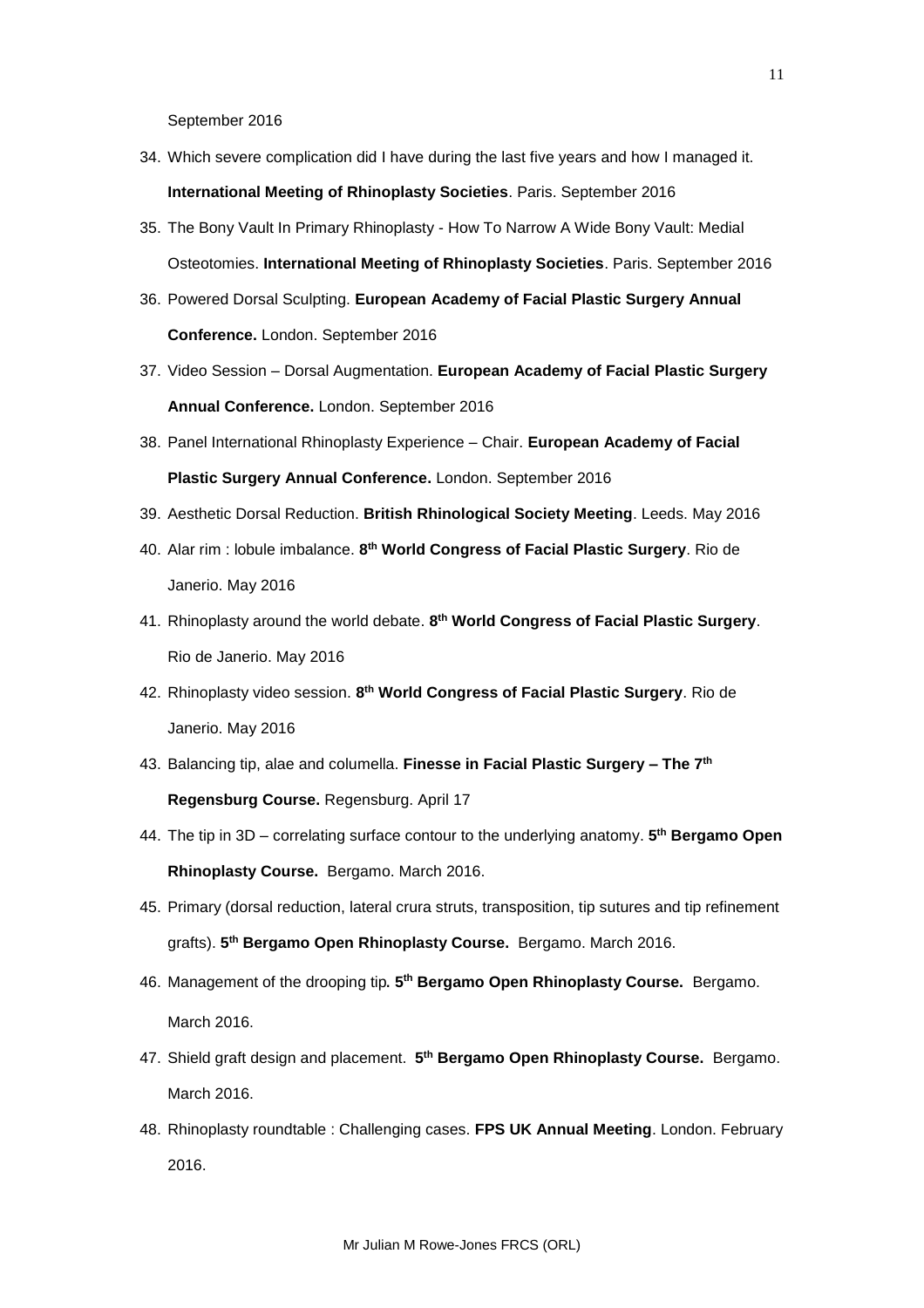September 2016

- 34. Which severe complication did I have during the last five years and how I managed it. **International Meeting of Rhinoplasty Societies**. Paris. September 2016
- 35. The Bony Vault In Primary Rhinoplasty How To Narrow A Wide Bony Vault: Medial Osteotomies. **International Meeting of Rhinoplasty Societies**. Paris. September 2016
- 36. Powered Dorsal Sculpting. **European Academy of Facial Plastic Surgery Annual Conference.** London. September 2016
- 37. Video Session Dorsal Augmentation. **European Academy of Facial Plastic Surgery Annual Conference.** London. September 2016
- 38. Panel International Rhinoplasty Experience Chair. **European Academy of Facial Plastic Surgery Annual Conference.** London. September 2016
- 39. Aesthetic Dorsal Reduction. **British Rhinological Society Meeting**. Leeds. May 2016
- 40. Alar rim : lobule imbalance. **8 th World Congress of Facial Plastic Surgery**. Rio de Janerio. May 2016
- 41. Rhinoplasty around the world debate. **8 th World Congress of Facial Plastic Surgery**. Rio de Janerio. May 2016
- 42. Rhinoplasty video session. **8 th World Congress of Facial Plastic Surgery**. Rio de Janerio. May 2016
- 43. Balancing tip, alae and columella. **Finesse in Facial Plastic Surgery – The 7th Regensburg Course.** Regensburg. April 17
- 44. The tip in 3D correlating surface contour to the underlying anatomy. **5 th Bergamo Open Rhinoplasty Course.** Bergamo. March 2016.
- 45. Primary (dorsal reduction, lateral crura struts, transposition, tip sutures and tip refinement grafts). **5 th Bergamo Open Rhinoplasty Course.** Bergamo. March 2016.
- 46. Management of the drooping tip. **5 th Bergamo Open Rhinoplasty Course.** Bergamo. March 2016.
- 47. Shield graft design and placement. 5<sup>th</sup> Bergamo Open Rhinoplasty Course. Bergamo. March 2016.
- 48. Rhinoplasty roundtable : Challenging cases. **FPS UK Annual Meeting**. London. February 2016.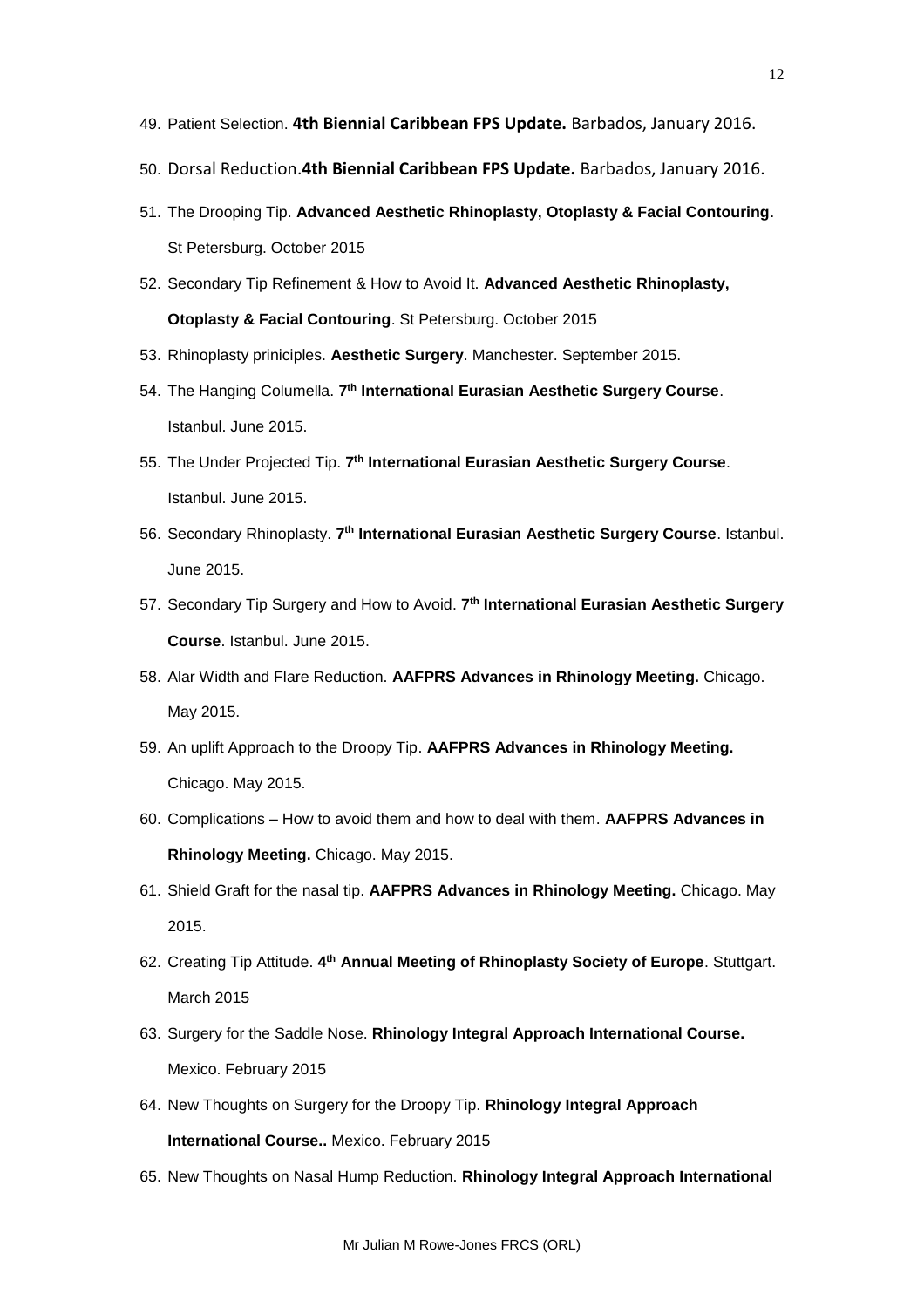- 49. Patient Selection. **4th Biennial Caribbean FPS Update.** Barbados, January 2016.
- 50. Dorsal Reduction.**4th Biennial Caribbean FPS Update.** Barbados, January 2016.
- 51. The Drooping Tip. **Advanced Aesthetic Rhinoplasty, Otoplasty & Facial Contouring**. St Petersburg. October 2015
- 52. Secondary Tip Refinement & How to Avoid It. **Advanced Aesthetic Rhinoplasty, Otoplasty & Facial Contouring**. St Petersburg. October 2015
- 53. Rhinoplasty priniciples. **Aesthetic Surgery**. Manchester. September 2015.
- 54. The Hanging Columella. **7 th International Eurasian Aesthetic Surgery Course**. Istanbul. June 2015.
- 55. The Under Projected Tip. **7 th International Eurasian Aesthetic Surgery Course**. Istanbul. June 2015.
- 56. Secondary Rhinoplasty. **7 th International Eurasian Aesthetic Surgery Course**. Istanbul. June 2015.
- 57. Secondary Tip Surgery and How to Avoid. **7 th International Eurasian Aesthetic Surgery Course**. Istanbul. June 2015.
- 58. Alar Width and Flare Reduction. **AAFPRS Advances in Rhinology Meeting.** Chicago. May 2015.
- 59. An uplift Approach to the Droopy Tip. **AAFPRS Advances in Rhinology Meeting.**  Chicago. May 2015.
- 60. Complications How to avoid them and how to deal with them. **AAFPRS Advances in Rhinology Meeting.** Chicago. May 2015.
- 61. Shield Graft for the nasal tip. **AAFPRS Advances in Rhinology Meeting.** Chicago. May 2015.
- 62. Creating Tip Attitude. **4 th Annual Meeting of Rhinoplasty Society of Europe**. Stuttgart. March 2015
- 63. Surgery for the Saddle Nose. **Rhinology Integral Approach International Course.**  Mexico. February 2015
- 64. New Thoughts on Surgery for the Droopy Tip. **Rhinology Integral Approach International Course..** Mexico. February 2015
- 65. New Thoughts on Nasal Hump Reduction. **Rhinology Integral Approach International**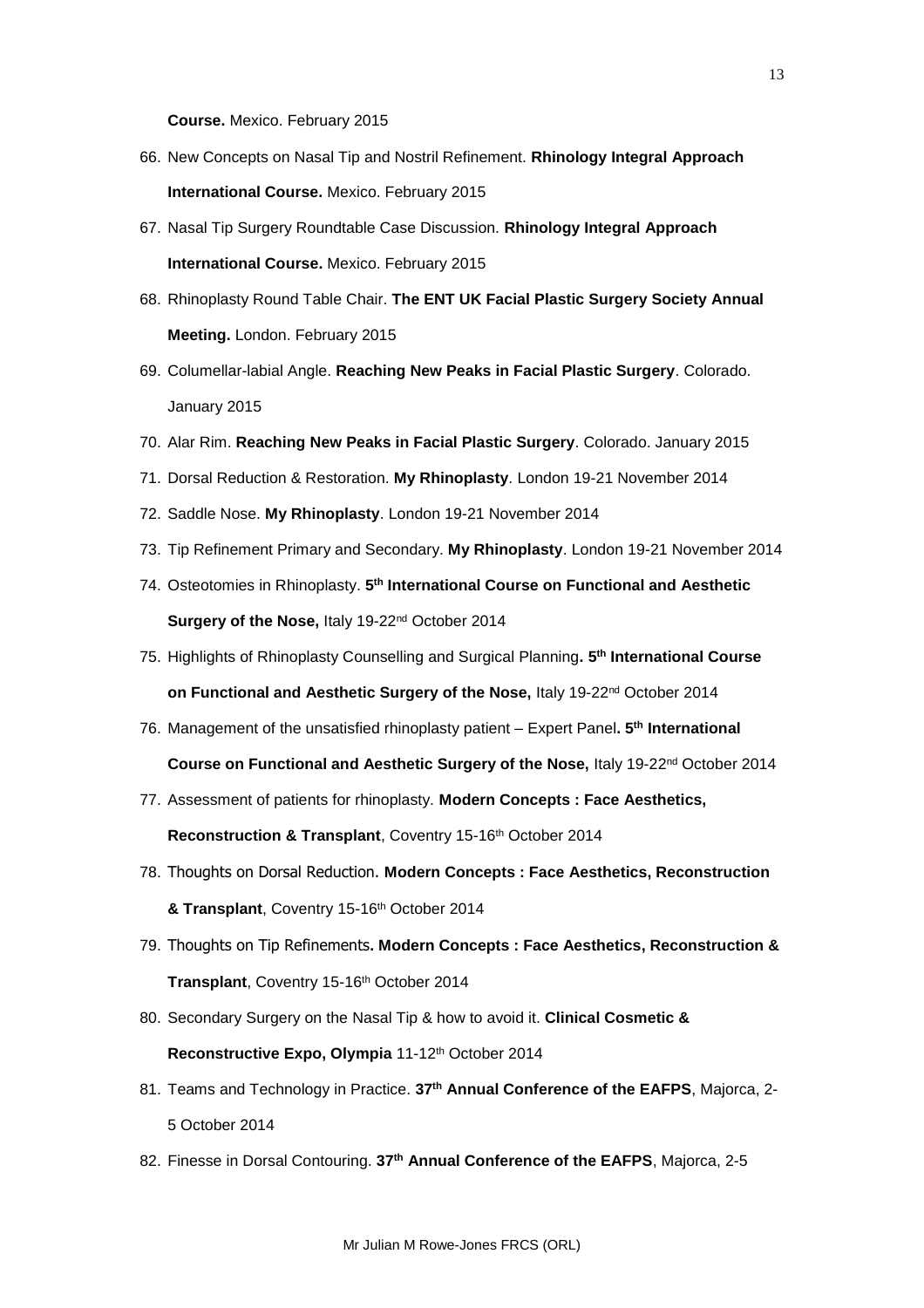**Course.** Mexico. February 2015

- 66. New Concepts on Nasal Tip and Nostril Refinement. **Rhinology Integral Approach International Course.** Mexico. February 2015
- 67. Nasal Tip Surgery Roundtable Case Discussion. **Rhinology Integral Approach International Course.** Mexico. February 2015
- 68. Rhinoplasty Round Table Chair. **The ENT UK Facial Plastic Surgery Society Annual Meeting.** London. February 2015
- 69. Columellar-labial Angle. **Reaching New Peaks in Facial Plastic Surgery**. Colorado. January 2015
- 70. Alar Rim. **Reaching New Peaks in Facial Plastic Surgery**. Colorado. January 2015
- 71. Dorsal Reduction & Restoration. **My Rhinoplasty**. London 19-21 November 2014
- 72. Saddle Nose. **My Rhinoplasty**. London 19-21 November 2014
- 73. Tip Refinement Primary and Secondary. **My Rhinoplasty**. London 19-21 November 2014
- 74. Osteotomies in Rhinoplasty. **5 th International Course on Functional and Aesthetic Surgery of the Nose,** Italy 19-22nd October 2014
- 75. Highlights of Rhinoplasty Counselling and Surgical Planning**. 5 th International Course on Functional and Aesthetic Surgery of the Nose, Italy 19-22<sup>nd</sup> October 2014**
- 76. Management of the unsatisfied rhinoplasty patient Expert Panel**. 5th International Course on Functional and Aesthetic Surgery of the Nose,** Italy 19-22nd October 2014
- 77. Assessment of patients for rhinoplasty. **Modern Concepts : Face Aesthetics, Reconstruction & Transplant, Coventry 15-16th October 2014**
- 78. Thoughts on Dorsal Reduction. **Modern Concepts : Face Aesthetics, Reconstruction & Transplant**, Coventry 15-16th October 2014
- 79. Thoughts on Tip Refinements**. Modern Concepts : Face Aesthetics, Reconstruction & Transplant**, Coventry 15-16th October 2014
- 80. Secondary Surgery on the Nasal Tip & how to avoid it. **Clinical Cosmetic &**  Reconstructive Expo, Olympia 11-12<sup>th</sup> October 2014
- 81. Teams and Technology in Practice. **37th Annual Conference of the EAFPS**, Majorca, 2- 5 October 2014
- 82. Finesse in Dorsal Contouring. **37th Annual Conference of the EAFPS**, Majorca, 2-5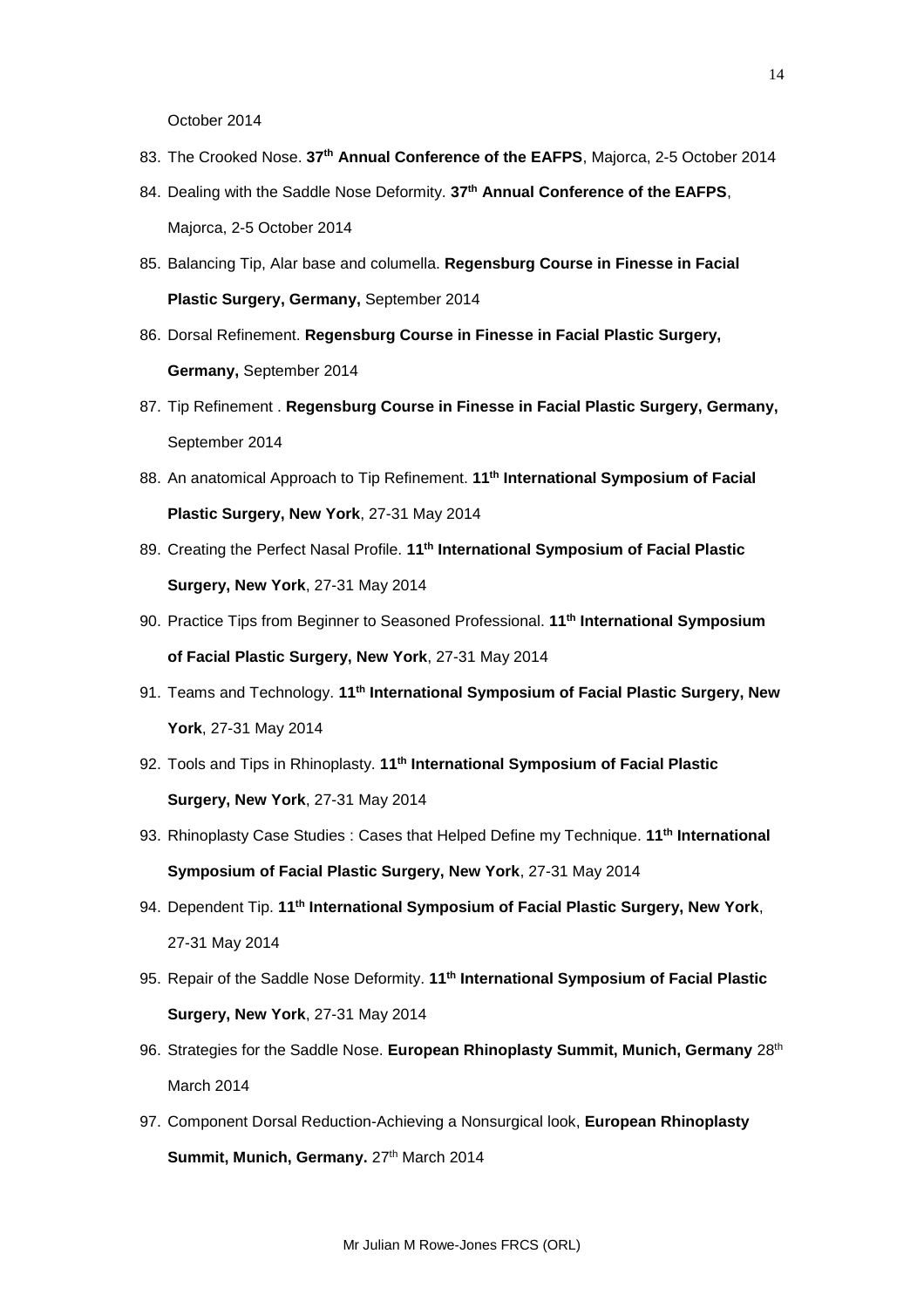October 2014

- 83. The Crooked Nose. **37th Annual Conference of the EAFPS**, Majorca, 2-5 October 2014
- 84. Dealing with the Saddle Nose Deformity. **37th Annual Conference of the EAFPS**, Majorca, 2-5 October 2014
- 85. Balancing Tip, Alar base and columella. **Regensburg Course in Finesse in Facial Plastic Surgery, Germany,** September 2014
- 86. Dorsal Refinement. **Regensburg Course in Finesse in Facial Plastic Surgery, Germany,** September 2014
- 87. Tip Refinement . **Regensburg Course in Finesse in Facial Plastic Surgery, Germany,**  September 2014
- 88. An anatomical Approach to Tip Refinement. **11th International Symposium of Facial Plastic Surgery, New York**, 27-31 May 2014
- 89. Creating the Perfect Nasal Profile. **11th International Symposium of Facial Plastic Surgery, New York**, 27-31 May 2014
- 90. Practice Tips from Beginner to Seasoned Professional. **11th International Symposium of Facial Plastic Surgery, New York**, 27-31 May 2014
- 91. Teams and Technology. **11th International Symposium of Facial Plastic Surgery, New York**, 27-31 May 2014
- 92. Tools and Tips in Rhinoplasty. **11th International Symposium of Facial Plastic Surgery, New York**, 27-31 May 2014
- 93. Rhinoplasty Case Studies : Cases that Helped Define my Technique. **11th International Symposium of Facial Plastic Surgery, New York**, 27-31 May 2014
- 94. Dependent Tip. **11th International Symposium of Facial Plastic Surgery, New York**, 27-31 May 2014
- 95. Repair of the Saddle Nose Deformity. **11th International Symposium of Facial Plastic Surgery, New York**, 27-31 May 2014
- 96. Strategies for the Saddle Nose. **European Rhinoplasty Summit, Munich, Germany** 28th March 2014
- 97. Component Dorsal Reduction-Achieving a Nonsurgical look, **European Rhinoplasty**  Summit, Munich, Germany. 27<sup>th</sup> March 2014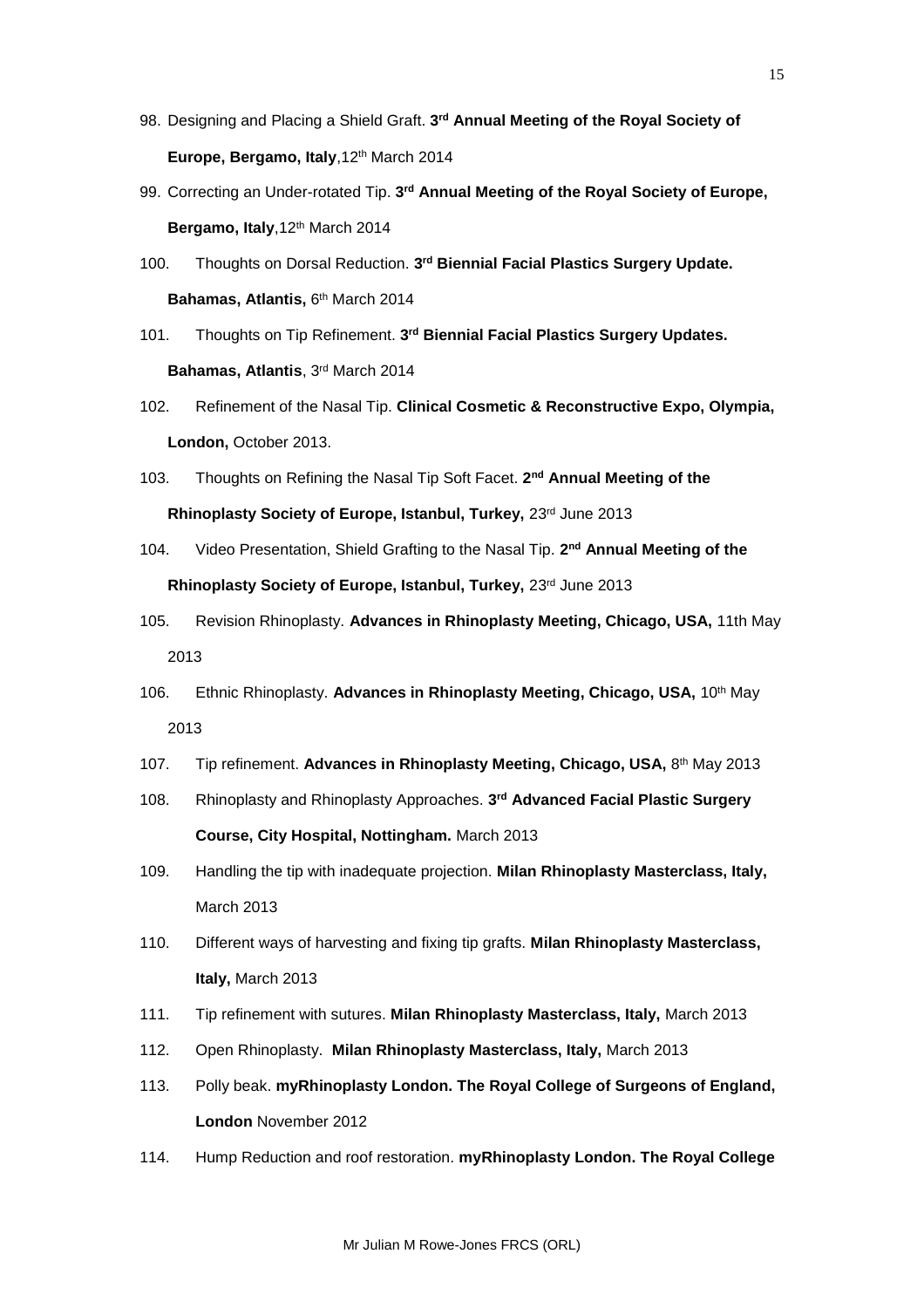- 98. Designing and Placing a Shield Graft. **3 rd Annual Meeting of the Royal Society of Europe, Bergamo, Italy**,12th March 2014
- 99. Correcting an Under-rotated Tip. **3 rd Annual Meeting of the Royal Society of Europe, Bergamo, Italy**,12th March 2014
- 100. Thoughts on Dorsal Reduction. **3 rd Biennial Facial Plastics Surgery Update. Bahamas, Atlantis,** 6<sup>th</sup> March 2014
- 101. Thoughts on Tip Refinement. **3 rd Biennial Facial Plastics Surgery Updates. Bahamas, Atlantis**, 3rd March 2014
- 102. Refinement of the Nasal Tip. **Clinical Cosmetic & Reconstructive Expo, Olympia, London,** October 2013.
- 103. Thoughts on Refining the Nasal Tip Soft Facet. **2 nd Annual Meeting of the Rhinoplasty Society of Europe, Istanbul, Turkey,** 23rd June 2013
- 104. Video Presentation, Shield Grafting to the Nasal Tip. 2<sup>nd</sup> Annual Meeting of the Rhinoplasty Society of Europe, Istanbul, Turkey, 23rd June 2013
- 105. Revision Rhinoplasty. **Advances in Rhinoplasty Meeting, Chicago, USA,** 11th May 2013
- 106. Ethnic Rhinoplasty. **Advances in Rhinoplasty Meeting, Chicago, USA,** 10th May 2013
- 107. Tip refinement. **Advances in Rhinoplasty Meeting, Chicago, USA,** 8 th May 2013
- 108. Rhinoplasty and Rhinoplasty Approaches. **3 rd Advanced Facial Plastic Surgery Course, City Hospital, Nottingham.** March 2013
- 109. Handling the tip with inadequate projection. **Milan Rhinoplasty Masterclass, Italy,** March 2013
- 110. Different ways of harvesting and fixing tip grafts. **Milan Rhinoplasty Masterclass, Italy,** March 2013
- 111. Tip refinement with sutures. **Milan Rhinoplasty Masterclass, Italy,** March 2013
- 112. Open Rhinoplasty. **Milan Rhinoplasty Masterclass, Italy,** March 2013
- 113. Polly beak. **myRhinoplasty London. The Royal College of Surgeons of England, London** November 2012
- 114. Hump Reduction and roof restoration. **myRhinoplasty London. The Royal College**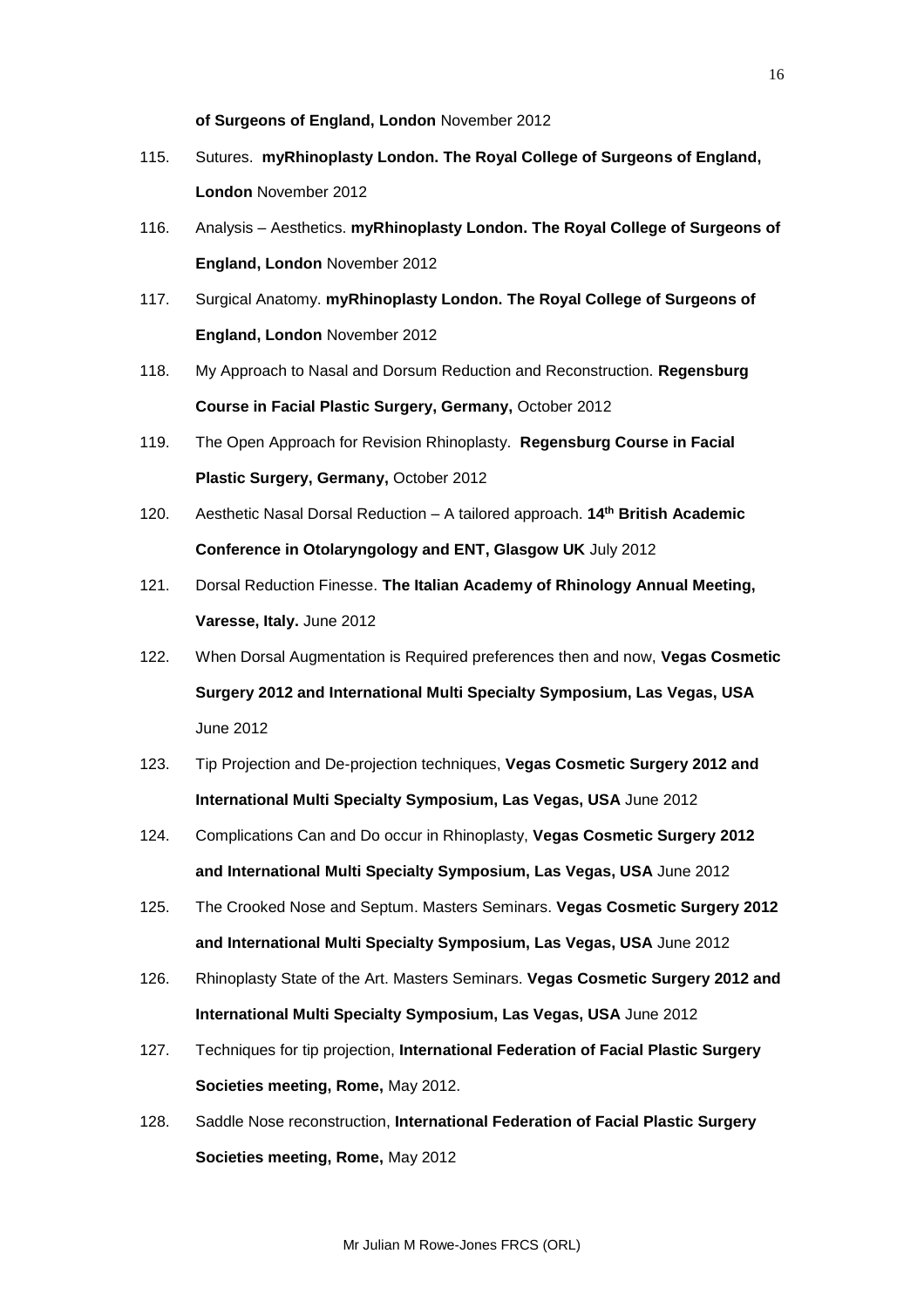**of Surgeons of England, London** November 2012

- 115. Sutures. **myRhinoplasty London. The Royal College of Surgeons of England, London** November 2012
- 116. Analysis Aesthetics. **myRhinoplasty London. The Royal College of Surgeons of England, London** November 2012
- 117. Surgical Anatomy. **myRhinoplasty London. The Royal College of Surgeons of England, London** November 2012
- 118. My Approach to Nasal and Dorsum Reduction and Reconstruction. **Regensburg Course in Facial Plastic Surgery, Germany,** October 2012
- 119. The Open Approach for Revision Rhinoplasty. **Regensburg Course in Facial Plastic Surgery, Germany,** October 2012
- 120. Aesthetic Nasal Dorsal Reduction A tailored approach. **14th British Academic Conference in Otolaryngology and ENT, Glasgow UK** July 2012
- 121. Dorsal Reduction Finesse. **The Italian Academy of Rhinology Annual Meeting, Varesse, Italy.** June 2012
- 122. When Dorsal Augmentation is Required preferences then and now, **Vegas Cosmetic Surgery 2012 and International Multi Specialty Symposium, Las Vegas, USA** June 2012
- 123. Tip Projection and De-projection techniques, **Vegas Cosmetic Surgery 2012 and International Multi Specialty Symposium, Las Vegas, USA** June 2012
- 124. Complications Can and Do occur in Rhinoplasty, **Vegas Cosmetic Surgery 2012 and International Multi Specialty Symposium, Las Vegas, USA** June 2012
- 125. The Crooked Nose and Septum. Masters Seminars. **Vegas Cosmetic Surgery 2012 and International Multi Specialty Symposium, Las Vegas, USA** June 2012
- 126. Rhinoplasty State of the Art. Masters Seminars. **Vegas Cosmetic Surgery 2012 and International Multi Specialty Symposium, Las Vegas, USA** June 2012
- 127. Techniques for tip projection, **International Federation of Facial Plastic Surgery Societies meeting, Rome,** May 2012.
- 128. Saddle Nose reconstruction, **International Federation of Facial Plastic Surgery Societies meeting, Rome,** May 2012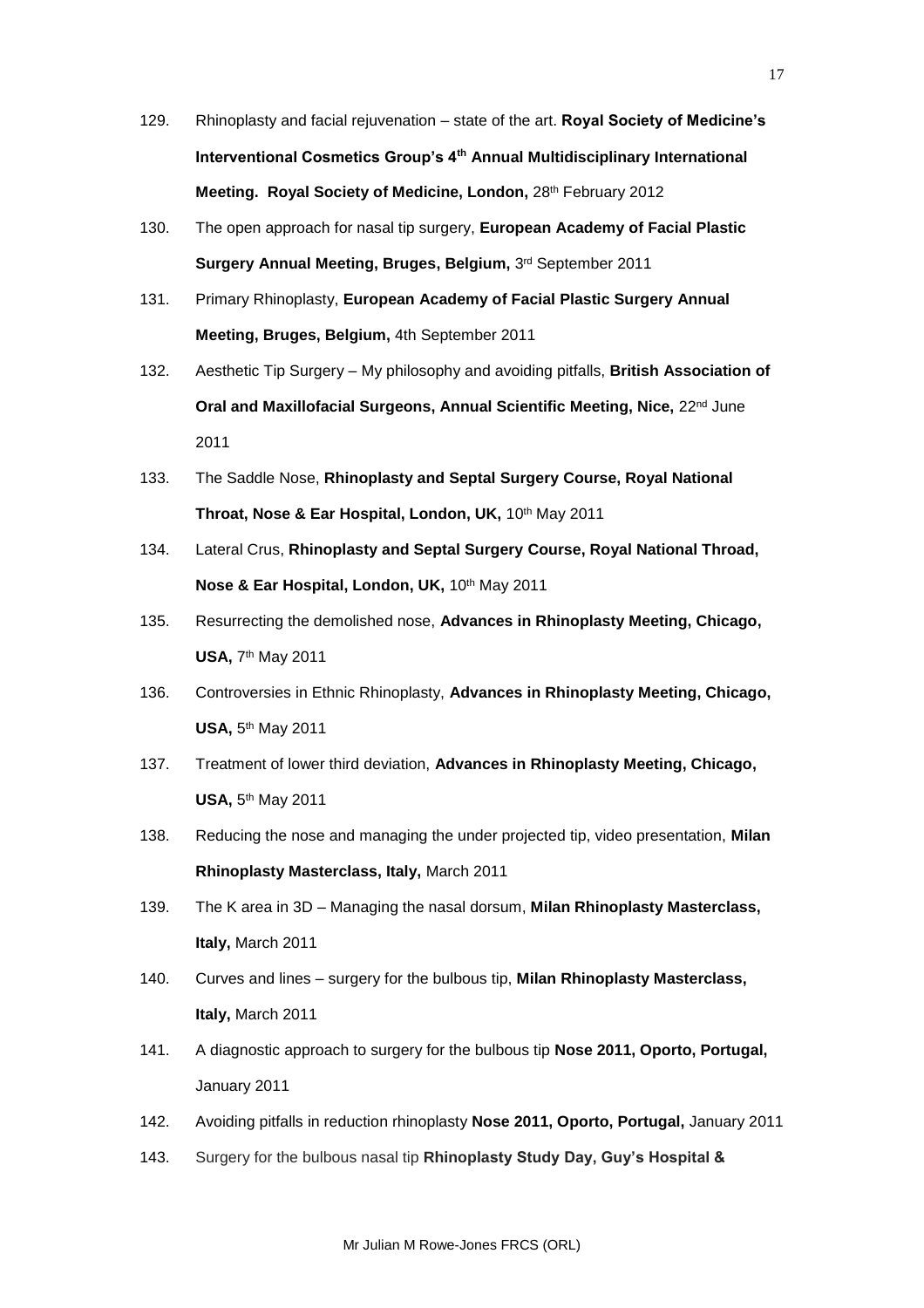- 129. Rhinoplasty and facial rejuvenation state of the art. **Royal Society of Medicine's Interventional Cosmetics Group's 4th Annual Multidisciplinary International Meeting. Royal Society of Medicine, London, 28th February 2012**
- 130. The open approach for nasal tip surgery, **European Academy of Facial Plastic Surgery Annual Meeting, Bruges, Belgium,** 3 rd September 2011
- 131. Primary Rhinoplasty, **European Academy of Facial Plastic Surgery Annual Meeting, Bruges, Belgium,** 4th September 2011
- 132. Aesthetic Tip Surgery My philosophy and avoiding pitfalls, **British Association of Oral and Maxillofacial Surgeons, Annual Scientific Meeting, Nice,** 22nd June 2011
- 133. The Saddle Nose, **Rhinoplasty and Septal Surgery Course, Royal National Throat, Nose & Ear Hospital, London, UK, 10th May 2011**
- 134. Lateral Crus, **Rhinoplasty and Septal Surgery Course, Royal National Throad, Nose & Ear Hospital, London, UK,** 10th May 2011
- 135. Resurrecting the demolished nose, **Advances in Rhinoplasty Meeting, Chicago, USA,** 7<sup>th</sup> May 2011
- 136. Controversies in Ethnic Rhinoplasty, **Advances in Rhinoplasty Meeting, Chicago, USA,** 5<sup>th</sup> May 2011
- 137. Treatment of lower third deviation, **Advances in Rhinoplasty Meeting, Chicago, USA,** 5 th May 2011
- 138. Reducing the nose and managing the under projected tip, video presentation, **Milan Rhinoplasty Masterclass, Italy,** March 2011
- 139. The K area in 3D Managing the nasal dorsum, **Milan Rhinoplasty Masterclass, Italy,** March 2011
- 140. Curves and lines surgery for the bulbous tip, **Milan Rhinoplasty Masterclass, Italy,** March 2011
- 141. A diagnostic approach to surgery for the bulbous tip **Nose 2011, Oporto, Portugal,** January 2011
- 142. Avoiding pitfalls in reduction rhinoplasty **Nose 2011, Oporto, Portugal,** January 2011
- 143. Surgery for the bulbous nasal tip **Rhinoplasty Study Day, Guy's Hospital &**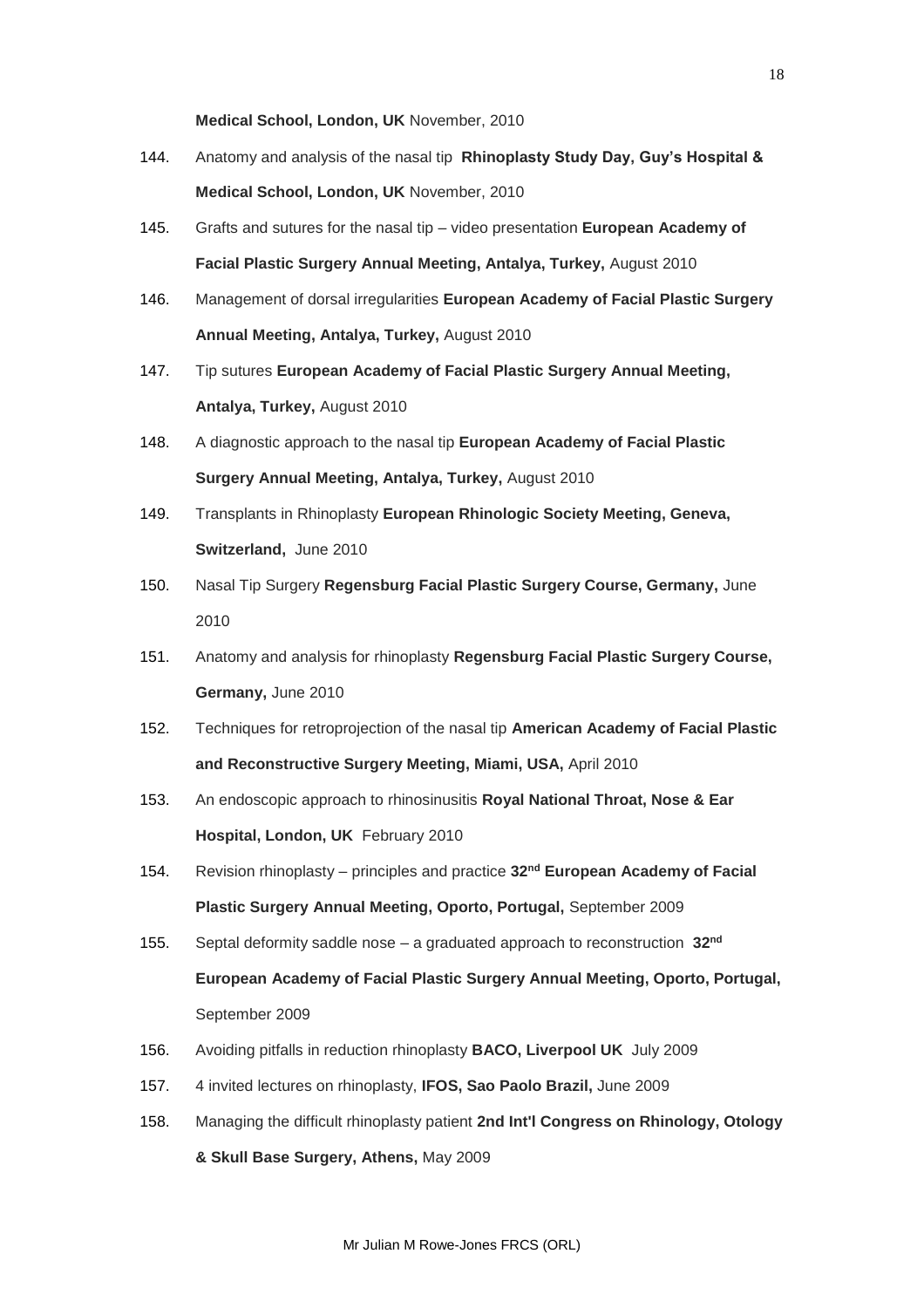**Medical School, London, UK** November, 2010

- 144. Anatomy and analysis of the nasal tip **Rhinoplasty Study Day, Guy's Hospital & Medical School, London, UK** November, 2010
- 145. Grafts and sutures for the nasal tip video presentation **European Academy of Facial Plastic Surgery Annual Meeting, Antalya, Turkey,** August 2010
- 146. Management of dorsal irregularities **European Academy of Facial Plastic Surgery Annual Meeting, Antalya, Turkey,** August 2010
- 147. Tip sutures **European Academy of Facial Plastic Surgery Annual Meeting, Antalya, Turkey,** August 2010
- 148. A diagnostic approach to the nasal tip **European Academy of Facial Plastic Surgery Annual Meeting, Antalya, Turkey,** August 2010
- 149. Transplants in Rhinoplasty **European Rhinologic Society Meeting, Geneva, Switzerland,** June 2010
- 150. Nasal Tip Surgery **Regensburg Facial Plastic Surgery Course, Germany,** June 2010
- 151. Anatomy and analysis for rhinoplasty **Regensburg Facial Plastic Surgery Course, Germany,** June 2010
- 152. Techniques for retroprojection of the nasal tip **American Academy of Facial Plastic and Reconstructive Surgery Meeting, Miami, USA,** April 2010
- 153. An endoscopic approach to rhinosinusitis **Royal National Throat, Nose & Ear Hospital, London, UK** February 2010
- 154. Revision rhinoplasty principles and practice **32nd European Academy of Facial Plastic Surgery Annual Meeting, Oporto, Portugal,** September 2009
- 155. Septal deformity saddle nose a graduated approach to reconstruction **32nd European Academy of Facial Plastic Surgery Annual Meeting, Oporto, Portugal,**  September 2009
- 156. Avoiding pitfalls in reduction rhinoplasty **BACO, Liverpool UK** July 2009
- 157. 4 invited lectures on rhinoplasty, **IFOS, Sao Paolo Brazil,** June 2009
- 158. Managing the difficult rhinoplasty patient **2nd Int'l Congress on Rhinology, Otology & Skull Base Surgery, Athens,** May 2009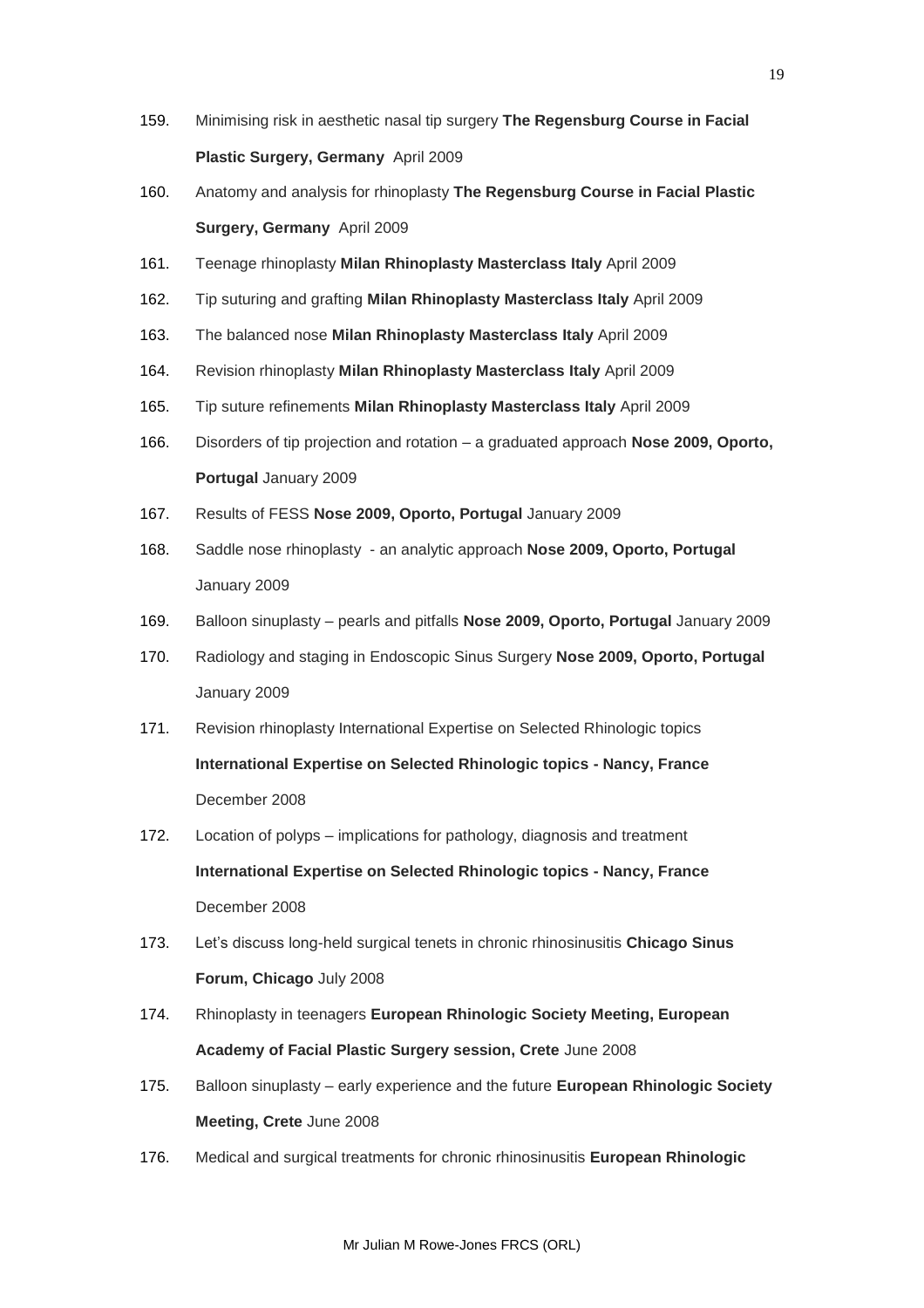- 159. Minimising risk in aesthetic nasal tip surgery **The Regensburg Course in Facial Plastic Surgery, Germany** April 2009
- 160. Anatomy and analysis for rhinoplasty **The Regensburg Course in Facial Plastic Surgery, Germany** April 2009
- 161. Teenage rhinoplasty **Milan Rhinoplasty Masterclass Italy** April 2009
- 162. Tip suturing and grafting **Milan Rhinoplasty Masterclass Italy** April 2009
- 163. The balanced nose **Milan Rhinoplasty Masterclass Italy** April 2009
- 164. Revision rhinoplasty **Milan Rhinoplasty Masterclass Italy** April 2009
- 165. Tip suture refinements **Milan Rhinoplasty Masterclass Italy** April 2009
- 166. Disorders of tip projection and rotation a graduated approach **Nose 2009, Oporto, Portugal** January 2009
- 167. Results of FESS **Nose 2009, Oporto, Portugal** January 2009
- 168. Saddle nose rhinoplasty an analytic approach **Nose 2009, Oporto, Portugal** January 2009
- 169. Balloon sinuplasty pearls and pitfalls **Nose 2009, Oporto, Portugal** January 2009
- 170. Radiology and staging in Endoscopic Sinus Surgery **Nose 2009, Oporto, Portugal** January 2009
- 171. Revision rhinoplasty International Expertise on Selected Rhinologic topics **International Expertise on Selected Rhinologic topics - Nancy, France**  December 2008
- 172. Location of polyps implications for pathology, diagnosis and treatment **International Expertise on Selected Rhinologic topics - Nancy, France**  December 2008
- 173. Let's discuss long-held surgical tenets in chronic rhinosinusitis **Chicago Sinus Forum, Chicago** July 2008
- 174. Rhinoplasty in teenagers **European Rhinologic Society Meeting, European Academy of Facial Plastic Surgery session, Crete** June 2008
- 175. Balloon sinuplasty early experience and the future **European Rhinologic Society Meeting, Crete** June 2008
- 176. Medical and surgical treatments for chronic rhinosinusitis **European Rhinologic**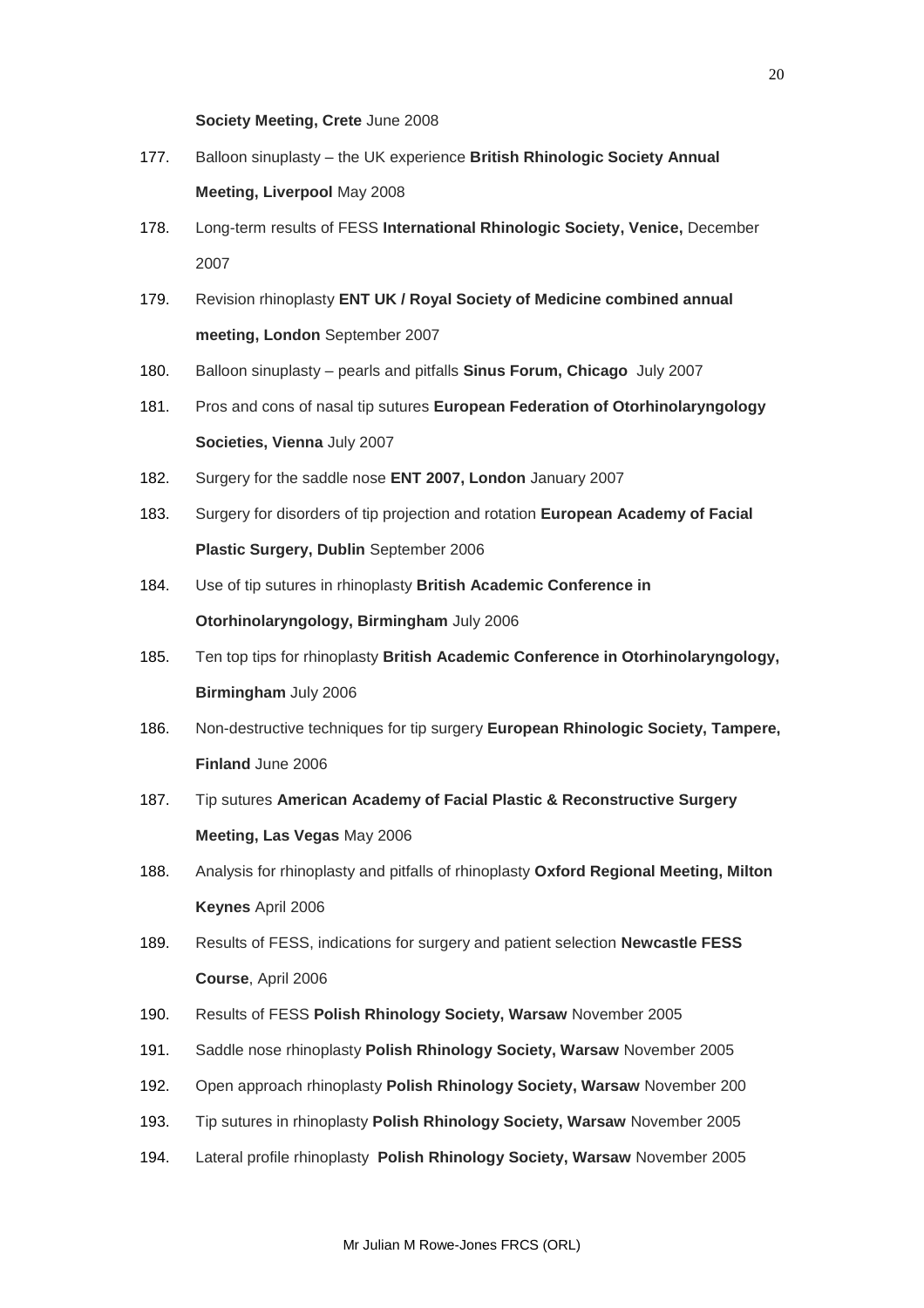## **Society Meeting, Crete** June 2008

- 177. Balloon sinuplasty the UK experience **British Rhinologic Society Annual Meeting, Liverpool** May 2008
- 178. Long-term results of FESS **International Rhinologic Society, Venice,** December 2007
- 179. Revision rhinoplasty **ENT UK / Royal Society of Medicine combined annual meeting, London** September 2007
- 180. Balloon sinuplasty pearls and pitfalls **Sinus Forum, Chicago** July 2007
- 181. Pros and cons of nasal tip sutures **European Federation of Otorhinolaryngology Societies, Vienna** July 2007
- 182. Surgery for the saddle nose **ENT 2007, London** January 2007
- 183. Surgery for disorders of tip projection and rotation **European Academy of Facial Plastic Surgery, Dublin** September 2006
- 184. Use of tip sutures in rhinoplasty **British Academic Conference in Otorhinolaryngology, Birmingham** July 2006
- 185. Ten top tips for rhinoplasty **British Academic Conference in Otorhinolaryngology, Birmingham** July 2006
- 186. Non-destructive techniques for tip surgery **European Rhinologic Society, Tampere, Finland** June 2006
- 187. Tip sutures **American Academy of Facial Plastic & Reconstructive Surgery Meeting, Las Vegas** May 2006
- 188. Analysis for rhinoplasty and pitfalls of rhinoplasty **Oxford Regional Meeting, Milton Keynes** April 2006
- 189. Results of FESS, indications for surgery and patient selection **Newcastle FESS Course**, April 2006
- 190. Results of FESS **Polish Rhinology Society, Warsaw** November 2005
- 191. Saddle nose rhinoplasty **Polish Rhinology Society, Warsaw** November 2005
- 192. Open approach rhinoplasty **Polish Rhinology Society, Warsaw** November 200
- 193. Tip sutures in rhinoplasty **Polish Rhinology Society, Warsaw** November 2005
- 194. Lateral profile rhinoplasty **Polish Rhinology Society, Warsaw** November 2005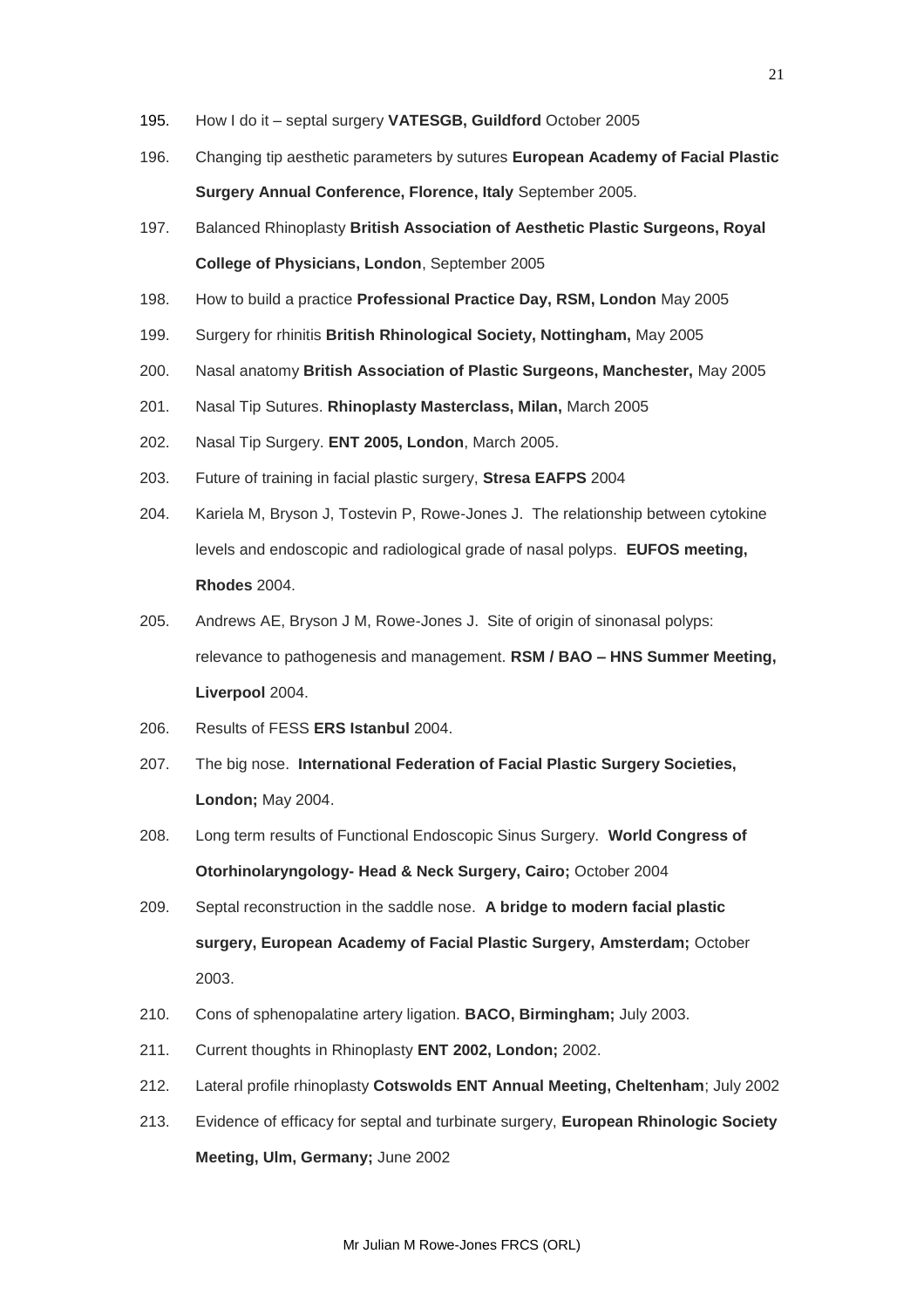- 195. How I do it septal surgery **VATESGB, Guildford** October 2005
- 196. Changing tip aesthetic parameters by sutures **European Academy of Facial Plastic Surgery Annual Conference, Florence, Italy** September 2005.
- 197. Balanced Rhinoplasty **British Association of Aesthetic Plastic Surgeons, Royal College of Physicians, London**, September 2005
- 198. How to build a practice **Professional Practice Day, RSM, London** May 2005
- 199. Surgery for rhinitis **British Rhinological Society, Nottingham,** May 2005
- 200. Nasal anatomy **British Association of Plastic Surgeons, Manchester,** May 2005
- 201. Nasal Tip Sutures. **Rhinoplasty Masterclass, Milan,** March 2005
- 202. Nasal Tip Surgery. **ENT 2005, London**, March 2005.
- 203. Future of training in facial plastic surgery, **Stresa EAFPS** 2004
- 204. Kariela M, Bryson J, Tostevin P, Rowe-Jones J. The relationship between cytokine levels and endoscopic and radiological grade of nasal polyps. **EUFOS meeting, Rhodes** 2004.
- 205. Andrews AE, Bryson J M, Rowe-Jones J. Site of origin of sinonasal polyps: relevance to pathogenesis and management. **RSM / BAO – HNS Summer Meeting, Liverpool** 2004.
- 206. Results of FESS **ERS Istanbul** 2004.
- 207. The big nose. **International Federation of Facial Plastic Surgery Societies, London;** May 2004.
- 208. Long term results of Functional Endoscopic Sinus Surgery. **World Congress of Otorhinolaryngology- Head & Neck Surgery, Cairo;** October 2004
- 209. Septal reconstruction in the saddle nose. **A bridge to modern facial plastic surgery, European Academy of Facial Plastic Surgery, Amsterdam;** October 2003.
- 210. Cons of sphenopalatine artery ligation. **BACO, Birmingham;** July 2003.
- 211. Current thoughts in Rhinoplasty **ENT 2002, London;** 2002.
- 212. Lateral profile rhinoplasty **Cotswolds ENT Annual Meeting, Cheltenham**; July 2002
- 213. Evidence of efficacy for septal and turbinate surgery, **European Rhinologic Society Meeting, Ulm, Germany;** June 2002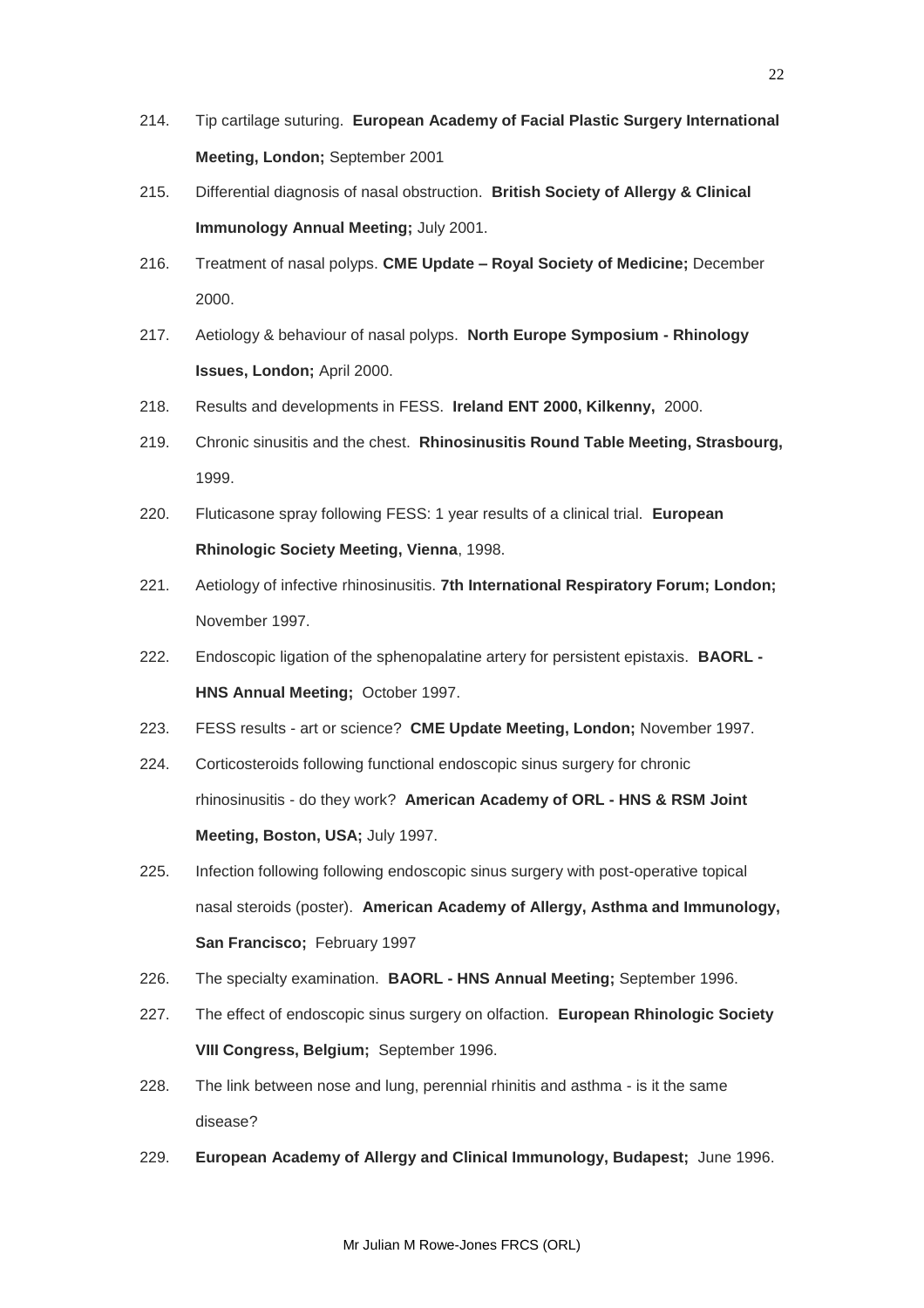- 214. Tip cartilage suturing. **European Academy of Facial Plastic Surgery International Meeting, London;** September 2001
- 215. Differential diagnosis of nasal obstruction. **British Society of Allergy & Clinical Immunology Annual Meeting;** July 2001.
- 216. Treatment of nasal polyps. **CME Update – Royal Society of Medicine;** December 2000.
- 217. Aetiology & behaviour of nasal polyps. **North Europe Symposium - Rhinology Issues, London;** April 2000.
- 218. Results and developments in FESS. **Ireland ENT 2000, Kilkenny,** 2000.
- 219. Chronic sinusitis and the chest. **Rhinosinusitis Round Table Meeting, Strasbourg,**  1999.
- 220. Fluticasone spray following FESS: 1 year results of a clinical trial. **European Rhinologic Society Meeting, Vienna**, 1998.
- 221. Aetiology of infective rhinosinusitis. **7th International Respiratory Forum; London;**  November 1997.
- 222. Endoscopic ligation of the sphenopalatine artery for persistent epistaxis. **BAORL - HNS Annual Meeting;** October 1997.
- 223. FESS results art or science? **CME Update Meeting, London;** November 1997.
- 224. Corticosteroids following functional endoscopic sinus surgery for chronic rhinosinusitis - do they work? **American Academy of ORL - HNS & RSM Joint Meeting, Boston, USA;** July 1997.
- 225. Infection following following endoscopic sinus surgery with post-operative topical nasal steroids (poster). **American Academy of Allergy, Asthma and Immunology, San Francisco;** February 1997
- 226. The specialty examination. **BAORL - HNS Annual Meeting;** September 1996.
- 227. The effect of endoscopic sinus surgery on olfaction. **European Rhinologic Society VIII Congress, Belgium;** September 1996.
- 228. The link between nose and lung, perennial rhinitis and asthma is it the same disease?
- 229. **European Academy of Allergy and Clinical Immunology, Budapest;** June 1996.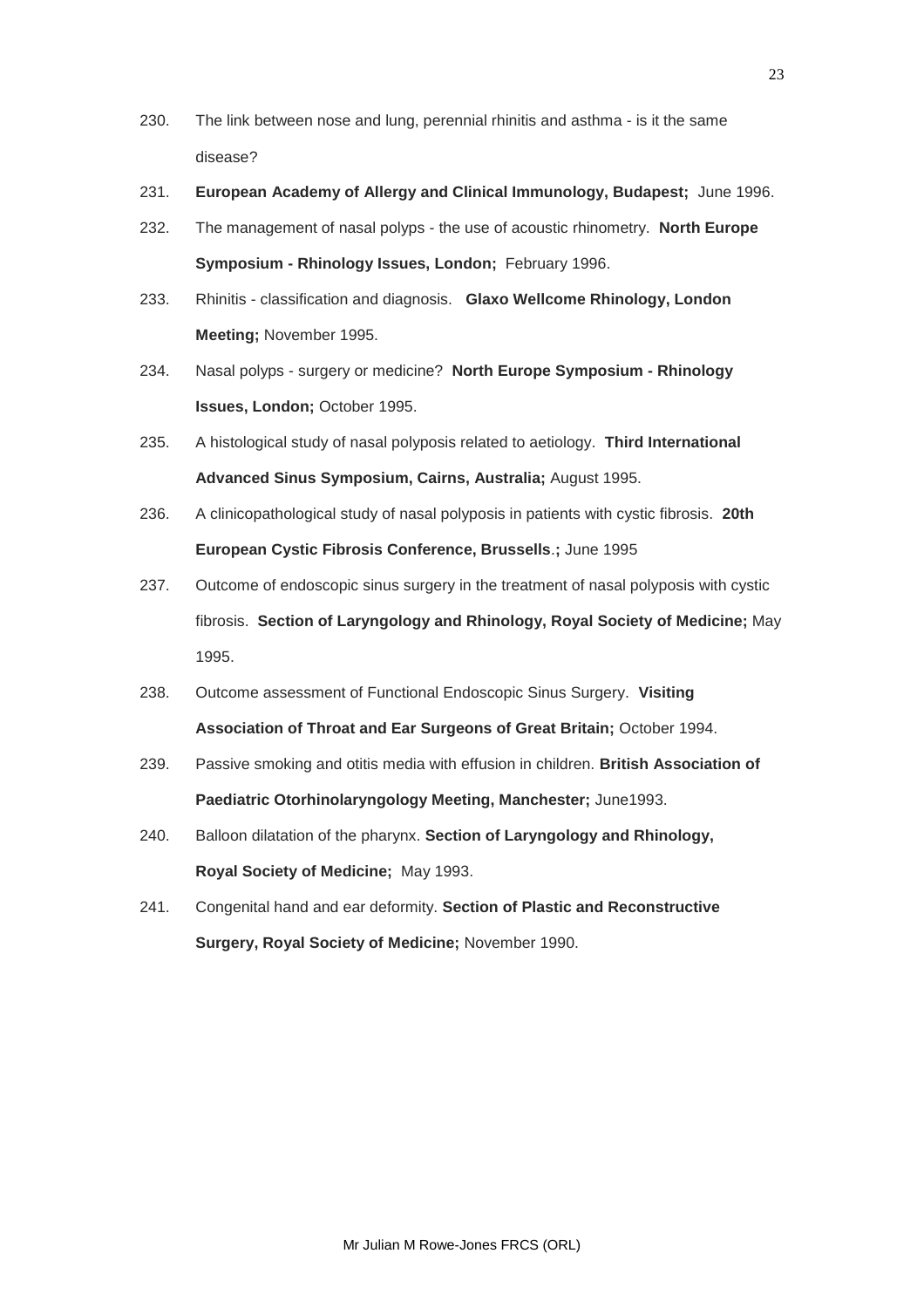- 230. The link between nose and lung, perennial rhinitis and asthma is it the same disease?
- 231. **European Academy of Allergy and Clinical Immunology, Budapest;** June 1996.
- 232. The management of nasal polyps the use of acoustic rhinometry. **North Europe Symposium - Rhinology Issues, London;** February 1996.
- 233. Rhinitis classification and diagnosis. **Glaxo Wellcome Rhinology, London Meeting;** November 1995.
- 234. Nasal polyps surgery or medicine? **North Europe Symposium - Rhinology Issues, London;** October 1995.
- 235. A histological study of nasal polyposis related to aetiology. **Third International Advanced Sinus Symposium, Cairns, Australia;** August 1995.
- 236. A clinicopathological study of nasal polyposis in patients with cystic fibrosis. **20th European Cystic Fibrosis Conference, Brussells**.**;** June 1995
- 237. Outcome of endoscopic sinus surgery in the treatment of nasal polyposis with cystic fibrosis. **Section of Laryngology and Rhinology, Royal Society of Medicine;** May 1995.
- 238. Outcome assessment of Functional Endoscopic Sinus Surgery. **Visiting Association of Throat and Ear Surgeons of Great Britain;** October 1994.
- 239. Passive smoking and otitis media with effusion in children. **British Association of Paediatric Otorhinolaryngology Meeting, Manchester;** June1993.
- 240. Balloon dilatation of the pharynx. **Section of Laryngology and Rhinology, Royal Society of Medicine;** May 1993.
- 241. Congenital hand and ear deformity. **Section of Plastic and Reconstructive Surgery, Royal Society of Medicine;** November 1990.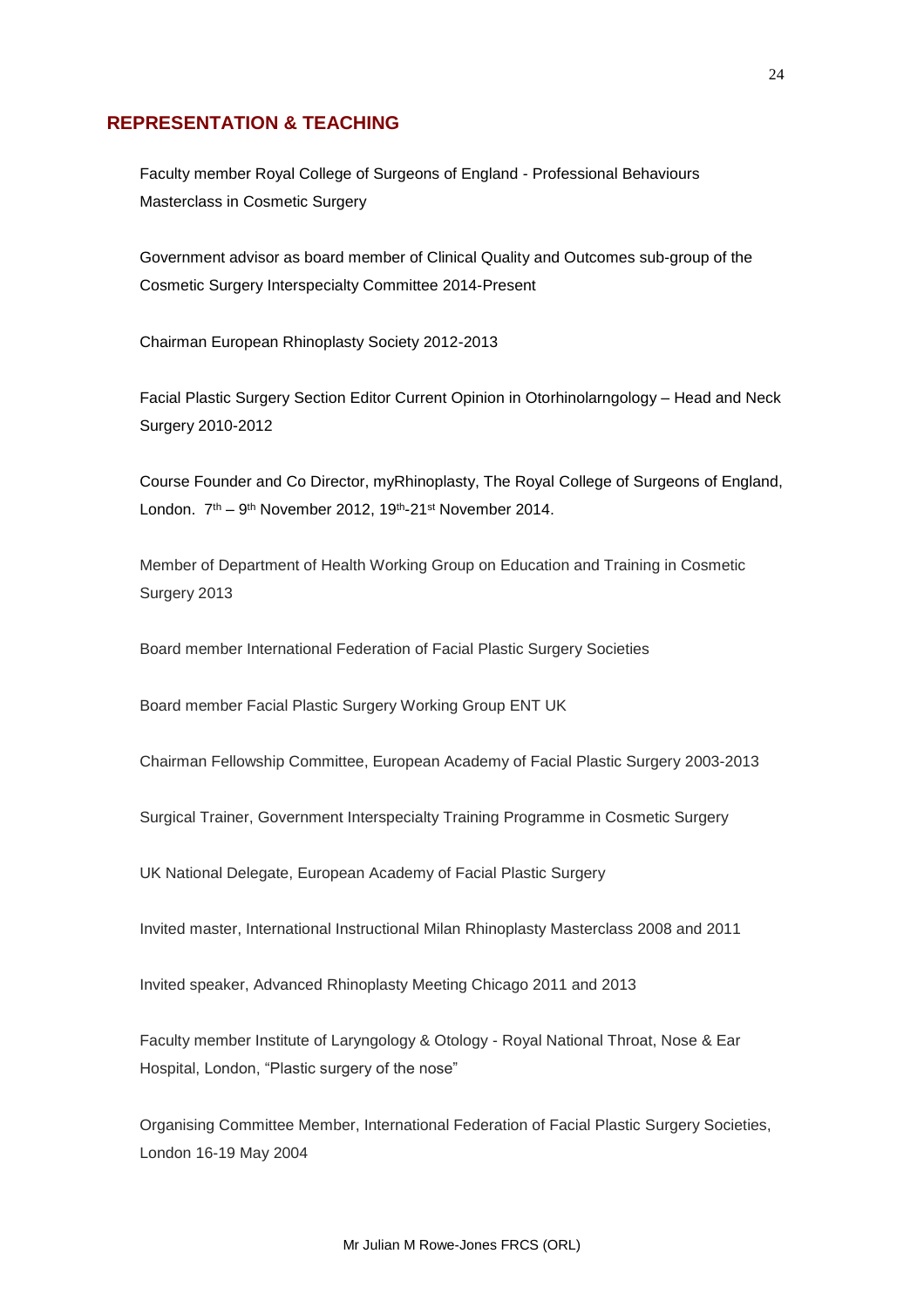## **REPRESENTATION & TEACHING**

Faculty member Royal College of Surgeons of England - Professional Behaviours Masterclass in Cosmetic Surgery

Government advisor as board member of Clinical Quality and Outcomes sub-group of the Cosmetic Surgery Interspecialty Committee 2014-Present

Chairman European Rhinoplasty Society 2012-2013

Facial Plastic Surgery Section Editor Current Opinion in Otorhinolarngology – Head and Neck Surgery 2010-2012

Course Founder and Co Director, myRhinoplasty, The Royal College of Surgeons of England, London. 7<sup>th</sup> – 9<sup>th</sup> November 2012, 19<sup>th</sup>-21<sup>st</sup> November 2014.

Member of Department of Health Working Group on Education and Training in Cosmetic Surgery 2013

Board member International Federation of Facial Plastic Surgery Societies

Board member Facial Plastic Surgery Working Group ENT UK

Chairman Fellowship Committee, European Academy of Facial Plastic Surgery 2003-2013

Surgical Trainer, Government Interspecialty Training Programme in Cosmetic Surgery

UK National Delegate, European Academy of Facial Plastic Surgery

Invited master, International Instructional Milan Rhinoplasty Masterclass 2008 and 2011

Invited speaker, Advanced Rhinoplasty Meeting Chicago 2011 and 2013

Faculty member Institute of Laryngology & Otology - Royal National Throat, Nose & Ear Hospital, London, "Plastic surgery of the nose"

Organising Committee Member, International Federation of Facial Plastic Surgery Societies, London 16-19 May 2004